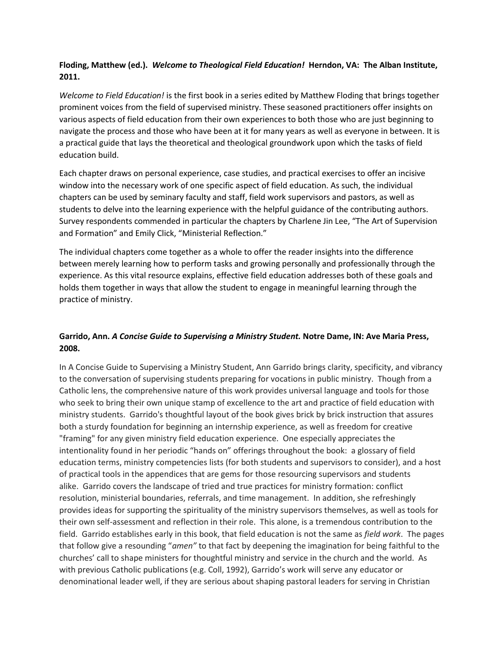# **Floding, Matthew (ed.).** *Welcome to Theological Field Education!* **Herndon, VA: The Alban Institute, 2011.**

*Welcome to Field Education!* is the first book in a series edited by Matthew Floding that brings together prominent voices from the field of supervised ministry. These seasoned practitioners offer insights on various aspects of field education from their own experiences to both those who are just beginning to navigate the process and those who have been at it for many years as well as everyone in between. It is a practical guide that lays the theoretical and theological groundwork upon which the tasks of field education build.

Each chapter draws on personal experience, case studies, and practical exercises to offer an incisive window into the necessary work of one specific aspect of field education. As such, the individual chapters can be used by seminary faculty and staff, field work supervisors and pastors, as well as students to delve into the learning experience with the helpful guidance of the contributing authors. Survey respondents commended in particular the chapters by Charlene Jin Lee, "The Art of Supervision and Formation" and Emily Click, "Ministerial Reflection."

The individual chapters come together as a whole to offer the reader insights into the difference between merely learning how to perform tasks and growing personally and professionally through the experience. As this vital resource explains, effective field education addresses both of these goals and holds them together in ways that allow the student to engage in meaningful learning through the practice of ministry.

# **Garrido, Ann.** *A Concise Guide to Supervising a Ministry Student.* **Notre Dame, IN: Ave Maria Press, 2008.**

In A Concise Guide to Supervising a Ministry Student, Ann Garrido brings clarity, specificity, and vibrancy to the conversation of supervising students preparing for vocations in public ministry. Though from a Catholic lens, the comprehensive nature of this work provides universal language and tools for those who seek to bring their own unique stamp of excellence to the art and practice of field education with ministry students. Garrido's thoughtful layout of the book gives brick by brick instruction that assures both a sturdy foundation for beginning an internship experience, as well as freedom for creative "framing" for any given ministry field education experience. One especially appreciates the intentionality found in her periodic "hands on" offerings throughout the book: a glossary of field education terms, ministry competencies lists (for both students and supervisors to consider), and a host of practical tools in the appendices that are gems for those resourcing supervisors and students alike. Garrido covers the landscape of tried and true practices for ministry formation: conflict resolution, ministerial boundaries, referrals, and time management. In addition, she refreshingly provides ideas for supporting the spirituality of the ministry supervisors themselves, as well as tools for their own self-assessment and reflection in their role. This alone, is a tremendous contribution to the field. Garrido establishes early in this book, that field education is not the same as *field work*. The pages that follow give a resounding "*amen"* to that fact by deepening the imagination for being faithful to the churches' call to shape ministers for thoughtful ministry and service in the church and the world. As with previous Catholic publications (e.g. Coll, 1992), Garrido's work will serve any educator or denominational leader well, if they are serious about shaping pastoral leaders for serving in Christian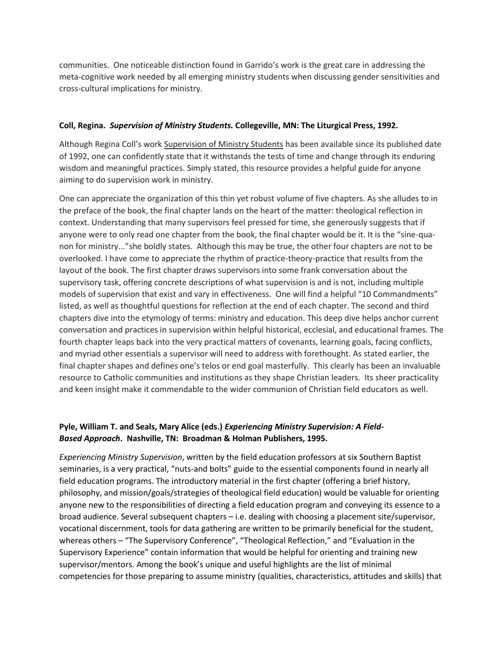communities. One noticeable distinction found in Garrido's work is the great care in addressing the meta-cognitive work needed by all emerging ministry students when discussing gender sensitivities and cross-cultural implications for ministry.

#### **Coll, Regina.** *Supervision of Ministry Students.* **Collegeville, MN: The Liturgical Press, 1992.**

Although Regina Coll's work Supervision of Ministry Students has been available since its published date of 1992, one can confidently state that it withstands the tests of time and change through its enduring wisdom and meaningful practices. Simply stated, this resource provides a helpful guide for anyone aiming to do supervision work in ministry.

One can appreciate the organization of this thin yet robust volume of five chapters. As she alludes to in the preface of the book, the final chapter lands on the heart of the matter: theological reflection in context. Understanding that many supervisors feel pressed for time, she generously suggests that if anyone were to only read one chapter from the book, the final chapter would be it. It is the "sine-quanon for ministry..."she boldly states. Although this may be true, the other four chapters are not to be overlooked. I have come to appreciate the rhythm of practice-theory-practice that results from the layout of the book. The first chapter draws supervisors into some frank conversation about the supervisory task, offering concrete descriptions of what supervision is and is not, including multiple models of supervision that exist and vary in effectiveness. One will find a helpful "10 Commandments" listed, as well as thoughtful questions for reflection at the end of each chapter. The second and third chapters dive into the etymology of terms: ministry and education. This deep dive helps anchor current conversation and practices in supervision within helpful historical, ecclesial, and educational frames. The fourth chapter leaps back into the very practical matters of covenants, learning goals, facing conflicts, and myriad other essentials a supervisor will need to address with forethought. As stated earlier, the final chapter shapes and defines one's telos or end goal masterfully. This clearly has been an invaluable resource to Catholic communities and institutions as they shape Christian leaders. Its sheer practicality and keen insight make it commendable to the wider communion of Christian field educators as well.

### **Pyle, William T. and Seals, Mary Alice (eds.)** *Experiencing Ministry Supervision: A Field-Based Approach***. Nashville, TN: Broadman & Holman Publishers, 1995.**

*Experiencing Ministry Supervision*, written by the field education professors at six Southern Baptist seminaries, is a very practical, "nuts-and bolts" guide to the essential components found in nearly all field education programs. The introductory material in the first chapter (offering a brief history, philosophy, and mission/goals/strategies of theological field education) would be valuable for orienting anyone new to the responsibilities of directing a field education program and conveying its essence to a broad audience. Several subsequent chapters – i.e. dealing with choosing a placement site/supervisor, vocational discernment, tools for data gathering are written to be primarily beneficial for the student, whereas others – "The Supervisory Conference", "Theological Reflection," and "Evaluation in the Supervisory Experience" contain information that would be helpful for orienting and training new supervisor/mentors. Among the book's unique and useful highlights are the list of minimal competencies for those preparing to assume ministry (qualities, characteristics, attitudes and skills) that